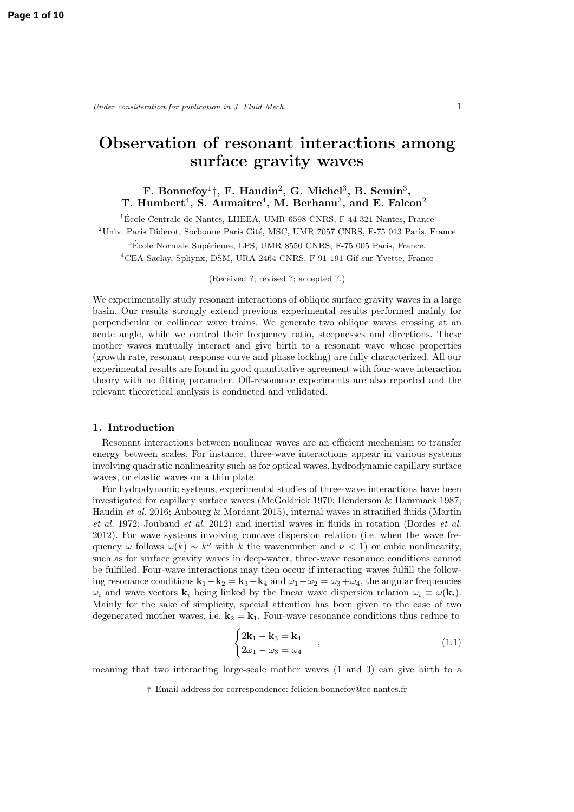Under consideration for publication in J. Fluid Mech.  $1$ 

# Observation of resonant interactions among surface gravity waves

# F. Bonnefoy<sup>1</sup><sup>†</sup>, F. Haudin<sup>2</sup>, G. Miche<sup>13</sup>, B. Semin<sup>3</sup>, T. Humbert<sup>4</sup>, S. Aumaître<sup>4</sup>, M. Berhanu<sup>2</sup>, and E. Falcon<sup>2</sup>

 $1\text{École Centrale de Nantes, LHEEA, UMR }$  6598 CNRS, F-44 321 Nantes, France  $2$ Univ. Paris Diderot, Sorbonne Paris Cité, MSC, UMR 7057 CNRS, F-75 013 Paris, France  $3E$ cole Normale Supérieure, LPS, UMR 8550 CNRS, F-75 005 Paris, France. <sup>4</sup>CEA-Saclay, Sphynx, DSM, URA 2464 CNRS, F-91 191 Gif-sur-Yvette, France

# (Received ?; revised ?; accepted ?.)

We experimentally study resonant interactions of oblique surface gravity waves in a large basin. Our results strongly extend previous experimental results performed mainly for perpendicular or collinear wave trains. We generate two oblique waves crossing at an acute angle, while we control their frequency ratio, steepnesses and directions. These mother waves mutually interact and give birth to a resonant wave whose properties (growth rate, resonant response curve and phase locking) are fully characterized. All our experimental results are found in good quantitative agreement with four-wave interaction theory with no fitting parameter. Off-resonance experiments are also reported and the relevant theoretical analysis is conducted and validated.

# 1. Introduction

Resonant interactions between nonlinear waves are an efficient mechanism to transfer energy between scales. For instance, three-wave interactions appear in various systems involving quadratic nonlinearity such as for optical waves, hydrodynamic capillary surface waves, or elastic waves on a thin plate.

For hydrodynamic systems, experimental studies of three-wave interactions have been investigated for capillary surface waves (McGoldrick 1970; Henderson & Hammack 1987; Haudin et al. 2016; Aubourg & Mordant 2015), internal waves in stratified fluids (Martin et al. 1972; Joubaud et al. 2012) and inertial waves in fluids in rotation (Bordes et al. 2012). For wave systems involving concave dispersion relation (i.e. when the wave frequency  $\omega$  follows  $\omega(k) \sim k^{\nu}$  with k the wavenumber and  $\nu < 1$ ) or cubic nonlinearity, such as for surface gravity waves in deep-water, three-wave resonance conditions cannot be fulfilled. Four-wave interactions may then occur if interacting waves fulfill the following resonance conditions  $\mathbf{k}_1+\mathbf{k}_2 = \mathbf{k}_3+\mathbf{k}_4$  and  $\omega_1+\omega_2 = \omega_3+\omega_4$ , the angular frequencies  $\omega_i$  and wave vectors  $\mathbf{k}_i$  being linked by the linear wave dispersion relation  $\omega_i \equiv \omega(\mathbf{k}_i)$ . Mainly for the sake of simplicity, special attention has been given to the case of two degenerated mother waves, i.e.  $\mathbf{k}_2 = \mathbf{k}_1$ . Four-wave resonance conditions thus reduce to

$$
\begin{cases} 2\mathbf{k}_1 - \mathbf{k}_3 = \mathbf{k}_4 \\ 2\omega_1 - \omega_3 = \omega_4 \end{cases} , \qquad (1.1)
$$

meaning that two interacting large-scale mother waves (1 and 3) can give birth to a

† Email address for correspondence: felicien.bonnefoy@ec-nantes.fr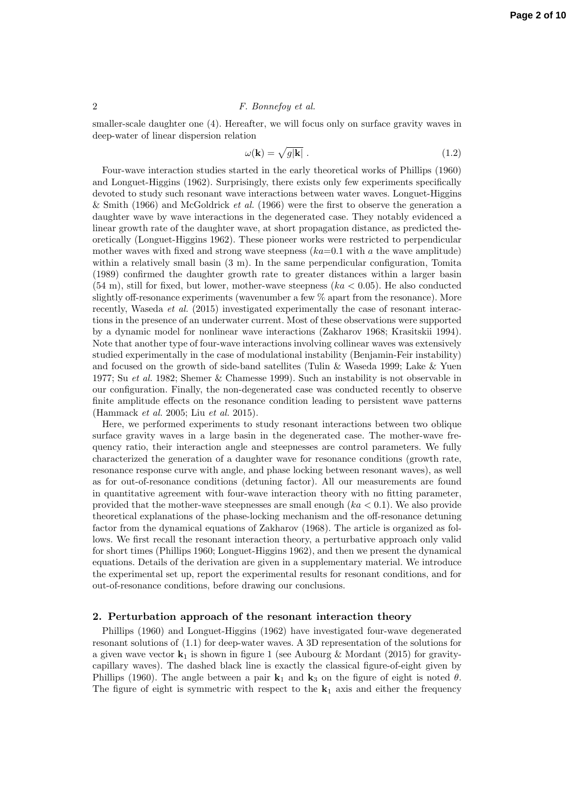smaller-scale daughter one (4). Hereafter, we will focus only on surface gravity waves in deep-water of linear dispersion relation

$$
\omega(\mathbf{k}) = \sqrt{g|\mathbf{k}|} \tag{1.2}
$$

Four-wave interaction studies started in the early theoretical works of Phillips (1960) and Longuet-Higgins (1962). Surprisingly, there exists only few experiments specifically devoted to study such resonant wave interactions between water waves. Longuet-Higgins & Smith (1966) and McGoldrick *et al.* (1966) were the first to observe the generation a daughter wave by wave interactions in the degenerated case. They notably evidenced a linear growth rate of the daughter wave, at short propagation distance, as predicted theoretically (Longuet-Higgins 1962). These pioneer works were restricted to perpendicular mother waves with fixed and strong wave steepness  $(ka=0.1 \text{ with } a \text{ the wave amplitude})$ within a relatively small basin  $(3 \text{ m})$ . In the same perpendicular configuration, Tomita (1989) confirmed the daughter growth rate to greater distances within a larger basin  $(54 \text{ m})$ , still for fixed, but lower, mother-wave steepness ( $ka < 0.05$ ). He also conducted slightly off-resonance experiments (wavenumber a few % apart from the resonance). More recently, Waseda et al. (2015) investigated experimentally the case of resonant interactions in the presence of an underwater current. Most of these observations were supported by a dynamic model for nonlinear wave interactions (Zakharov 1968; Krasitskii 1994). Note that another type of four-wave interactions involving collinear waves was extensively studied experimentally in the case of modulational instability (Benjamin-Feir instability) and focused on the growth of side-band satellites (Tulin & Waseda 1999; Lake & Yuen 1977; Su et al. 1982; Shemer & Chamesse 1999). Such an instability is not observable in our configuration. Finally, the non-degenerated case was conducted recently to observe finite amplitude effects on the resonance condition leading to persistent wave patterns (Hammack et al. 2005; Liu et al. 2015).

Here, we performed experiments to study resonant interactions between two oblique surface gravity waves in a large basin in the degenerated case. The mother-wave frequency ratio, their interaction angle and steepnesses are control parameters. We fully characterized the generation of a daughter wave for resonance conditions (growth rate, resonance response curve with angle, and phase locking between resonant waves), as well as for out-of-resonance conditions (detuning factor). All our measurements are found in quantitative agreement with four-wave interaction theory with no fitting parameter, provided that the mother-wave steepnesses are small enough  $(ka < 0.1)$ . We also provide theoretical explanations of the phase-locking mechanism and the off-resonance detuning factor from the dynamical equations of Zakharov (1968). The article is organized as follows. We first recall the resonant interaction theory, a perturbative approach only valid for short times (Phillips 1960; Longuet-Higgins 1962), and then we present the dynamical equations. Details of the derivation are given in a supplementary material. We introduce the experimental set up, report the experimental results for resonant conditions, and for out-of-resonance conditions, before drawing our conclusions.

#### 2. Perturbation approach of the resonant interaction theory

Phillips (1960) and Longuet-Higgins (1962) have investigated four-wave degenerated resonant solutions of (1.1) for deep-water waves. A 3D representation of the solutions for a given wave vector  $\mathbf{k}_1$  is shown in figure 1 (see Aubourg & Mordant (2015) for gravitycapillary waves). The dashed black line is exactly the classical figure-of-eight given by Phillips (1960). The angle between a pair  $\mathbf{k}_1$  and  $\mathbf{k}_3$  on the figure of eight is noted  $\theta$ . The figure of eight is symmetric with respect to the  $k_1$  axis and either the frequency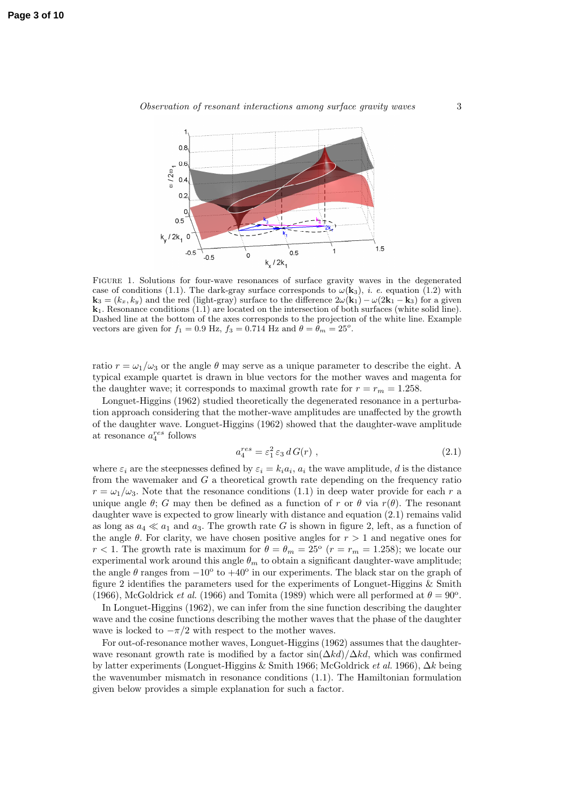

Observation of resonant interactions among surface gravity waves 3

Figure 1. Solutions for four-wave resonances of surface gravity waves in the degenerated case of conditions (1.1). The dark-gray surface corresponds to  $\omega(\mathbf{k}_3)$ , *i. e.* equation (1.2) with  $\mathbf{k}_3 = (k_x, k_y)$  and the red (light-gray) surface to the difference  $2\omega(\mathbf{k}_1) - \omega(2\mathbf{k}_1 - \mathbf{k}_3)$  for a given  $k_1$ . Resonance conditions (1.1) are located on the intersection of both surfaces (white solid line). Dashed line at the bottom of the axes corresponds to the projection of the white line. Example vectors are given for  $f_1 = 0.9$  Hz,  $f_3 = 0.714$  Hz and  $\theta = \theta_m = 25^\circ$ .

ratio  $r = \omega_1/\omega_3$  or the angle  $\theta$  may serve as a unique parameter to describe the eight. A typical example quartet is drawn in blue vectors for the mother waves and magenta for the daughter wave; it corresponds to maximal growth rate for  $r = r_m = 1.258$ .

Longuet-Higgins (1962) studied theoretically the degenerated resonance in a perturbation approach considering that the mother-wave amplitudes are unaffected by the growth of the daughter wave. Longuet-Higgins (1962) showed that the daughter-wave amplitude at resonance  $a_4^{res}$  follows

$$
a_4^{res} = \varepsilon_1^2 \, \varepsilon_3 \, d \, G(r) \tag{2.1}
$$

where  $\varepsilon_i$  are the steepnesses defined by  $\varepsilon_i = k_i a_i$ ,  $a_i$  the wave amplitude, d is the distance from the wavemaker and G a theoretical growth rate depending on the frequency ratio  $r = \omega_1/\omega_3$ . Note that the resonance conditions (1.1) in deep water provide for each r a unique angle  $\theta$ ; G may then be defined as a function of r or  $\theta$  via  $r(\theta)$ . The resonant daughter wave is expected to grow linearly with distance and equation (2.1) remains valid as long as  $a_4 \ll a_1$  and  $a_3$ . The growth rate G is shown in figure 2, left, as a function of the angle  $\theta$ . For clarity, we have chosen positive angles for  $r > 1$  and negative ones for  $r < 1$ . The growth rate is maximum for  $\theta = \theta_m = 25^{\circ}$   $(r = r_m = 1.258)$ ; we locate our experimental work around this angle  $\theta_m$  to obtain a significant daughter-wave amplitude; the angle  $\theta$  ranges from  $-10^{\circ}$  to  $+40^{\circ}$  in our experiments. The black star on the graph of figure 2 identifies the parameters used for the experiments of Longuet-Higgins & Smith (1966), McGoldrick et al. (1966) and Tomita (1989) which were all performed at  $\theta = 90^{\circ}$ .

In Longuet-Higgins (1962), we can infer from the sine function describing the daughter wave and the cosine functions describing the mother waves that the phase of the daughter wave is locked to  $-\pi/2$  with respect to the mother waves.

For out-of-resonance mother waves, Longuet-Higgins (1962) assumes that the daughterwave resonant growth rate is modified by a factor  $\sin(\Delta kd)/\Delta kd$ , which was confirmed by latter experiments (Longuet-Higgins & Smith 1966; McGoldrick et al. 1966), ∆k being the wavenumber mismatch in resonance conditions (1.1). The Hamiltonian formulation given below provides a simple explanation for such a factor.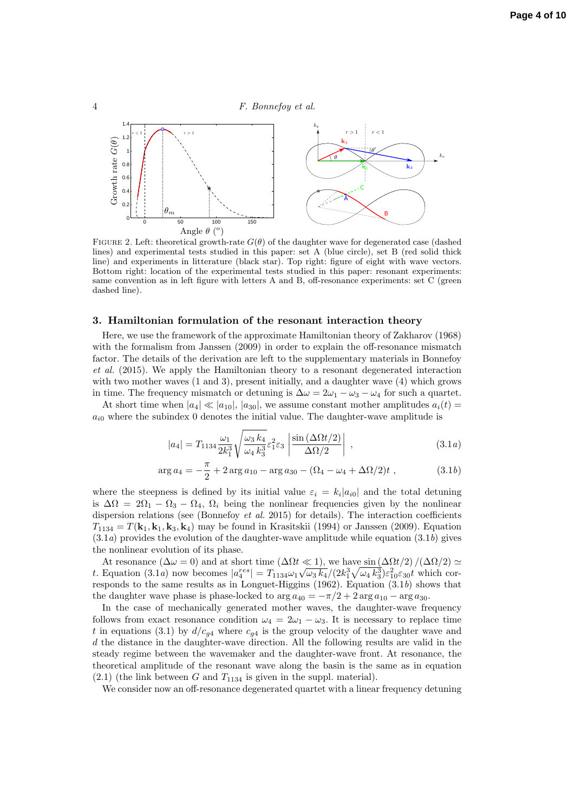

FIGURE 2. Left: theoretical growth-rate  $G(\theta)$  of the daughter wave for degenerated case (dashed lines) and experimental tests studied in this paper: set A (blue circle), set B (red solid thick line) and experiments in litterature (black star). Top right: figure of eight with wave vectors. Bottom right: location of the experimental tests studied in this paper: resonant experiments: same convention as in left figure with letters A and B, off-resonance experiments: set C (green dashed line).

# 3. Hamiltonian formulation of the resonant interaction theory

Here, we use the framework of the approximate Hamiltonian theory of Zakharov (1968) with the formalism from Janssen (2009) in order to explain the off-resonance mismatch factor. The details of the derivation are left to the supplementary materials in Bonnefoy et al. (2015). We apply the Hamiltonian theory to a resonant degenerated interaction with two mother waves (1 and 3), present initially, and a daughter wave (4) which grows in time. The frequency mismatch or detuning is  $\Delta \omega = 2\omega_1 - \omega_3 - \omega_4$  for such a quartet.

At short time when  $|a_4| \ll |a_{10}|$ ,  $|a_{30}|$ , we assume constant mother amplitudes  $a_i(t)$  $a_{i0}$  where the subindex 0 denotes the initial value. The daughter-wave amplitude is

$$
|a_4| = T_{1134} \frac{\omega_1}{2k_1^3} \sqrt{\frac{\omega_3 k_4}{\omega_4 k_3^3}} \varepsilon_1^2 \varepsilon_3 \left| \frac{\sin \left(\Delta \Omega t/2\right)}{\Delta \Omega/2} \right| \,, \tag{3.1a}
$$

$$
\arg a_4 = -\frac{\pi}{2} + 2\arg a_{10} - \arg a_{30} - (\Omega_4 - \omega_4 + \Delta\Omega/2)t , \qquad (3.1b)
$$

where the steepness is defined by its initial value  $\varepsilon_i = k_i |a_{i0}|$  and the total detuning is  $\Delta\Omega = 2\Omega_1 - \Omega_3 - \Omega_4$ ,  $\Omega_i$  being the nonlinear frequencies given by the nonlinear dispersion relations (see (Bonnefoy *et al.* 2015) for details). The interaction coefficients  $T_{1134} = T(\mathbf{k}_1, \mathbf{k}_1, \mathbf{k}_3, \mathbf{k}_4)$  may be found in Krasitskii (1994) or Janssen (2009). Equation  $(3.1a)$  provides the evolution of the daughter-wave amplitude while equation  $(3.1b)$  gives the nonlinear evolution of its phase.

At resonance ( $\Delta \omega = 0$ ) and at short time ( $\Delta \Omega t \ll 1$ ), we have sin ( $\Delta \Omega t/2$ )/( $\Delta \Omega/2$ ) ~ t. Equation (3.1*a*) now becomes  $|a_4^{res}| = T_{1134}\omega_1 \sqrt{\omega_3 k_4}/(2k_1^3 \sqrt{\omega_4 k_3^3})\varepsilon_{10}^2 \varepsilon_{30}^2 t$  which corresponds to the same results as in Longuet-Higgins (1962). Equation (3.1b) shows that the daughter wave phase is phase-locked to  $\arg a_{40} = -\pi/2 + 2 \arg a_{10} - \arg a_{30}$ .

In the case of mechanically generated mother waves, the daughter-wave frequency follows from exact resonance condition  $\omega_4 = 2\omega_1 - \omega_3$ . It is necessary to replace time t in equations (3.1) by  $d/c_{q4}$  where  $c_{q4}$  is the group velocity of the daughter wave and d the distance in the daughter-wave direction. All the following results are valid in the steady regime between the wavemaker and the daughter-wave front. At resonance, the theoretical amplitude of the resonant wave along the basin is the same as in equation  $(2.1)$  (the link between G and  $T_{1134}$  is given in the suppl. material).

We consider now an off-resonance degenerated quartet with a linear frequency detuning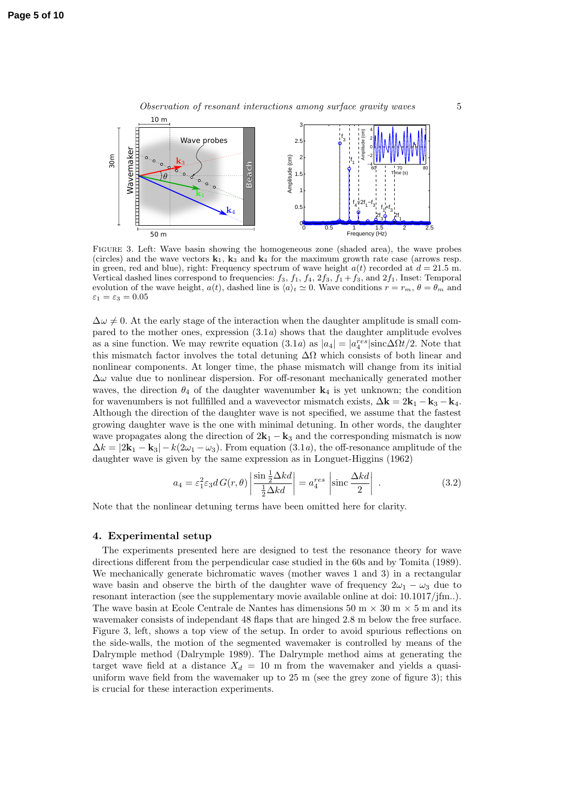Observation of resonant interactions among surface gravity waves  $5$ 



Figure 3. Left: Wave basin showing the homogeneous zone (shaded area), the wave probes (circles) and the wave vectors  $\mathbf{k}_1$ ,  $\mathbf{k}_3$  and  $\mathbf{k}_4$  for the maximum growth rate case (arrows resp. in green, red and blue), right: Frequency spectrum of wave height  $a(t)$  recorded at  $d = 21.5$  m. Vertical dashed lines correspond to frequencies:  $f_3$ ,  $f_1$ ,  $f_4$ ,  $2f_3$ ,  $f_1 + f_3$ , and  $2f_1$ . Inset: Temporal evolution of the wave height,  $a(t)$ , dashed line is  $\langle a \rangle_t \simeq 0$ . Wave conditions  $r = r_m$ ,  $\theta = \theta_m$  and  $\varepsilon_1 = \varepsilon_3 = 0.05$ 

 $\Delta\omega \neq 0$ . At the early stage of the interaction when the daughter amplitude is small compared to the mother ones, expression  $(3.1a)$  shows that the daughter amplitude evolves as a sine function. We may rewrite equation  $(3.1a)$  as  $|a_4| = |a_4^{res}| \text{sinc}\Delta\Omega t/2$ . Note that this mismatch factor involves the total detuning  $\Delta\Omega$  which consists of both linear and nonlinear components. At longer time, the phase mismatch will change from its initial  $\Delta\omega$  value due to nonlinear dispersion. For off-resonant mechanically generated mother waves, the direction  $\theta_4$  of the daughter wavenumber  $k_4$  is yet unknown; the condition for wavenumbers is not fullfilled and a wavevector mismatch exists,  $\Delta \mathbf{k} = 2\mathbf{k}_1 - \mathbf{k}_3 - \mathbf{k}_4$ . Although the direction of the daughter wave is not specified, we assume that the fastest growing daughter wave is the one with minimal detuning. In other words, the daughter wave propagates along the direction of  $2k_1 - k_3$  and the corresponding mismatch is now  $\Delta k = |2\mathbf{k}_1 - \mathbf{k}_3| - k(2\omega_1 - \omega_3)$ . From equation (3.1*a*), the off-resonance amplitude of the daughter wave is given by the same expression as in Longuet-Higgins (1962)

$$
a_4 = \varepsilon_1^2 \varepsilon_3 d \, G(r,\theta) \left| \frac{\sin \frac{1}{2} \Delta k d}{\frac{1}{2} \Delta k d} \right| = a_4^{res} \left| \text{sinc} \, \frac{\Delta k d}{2} \right| \,. \tag{3.2}
$$

Note that the nonlinear detuning terms have been omitted here for clarity.

#### 4. Experimental setup

The experiments presented here are designed to test the resonance theory for wave directions different from the perpendicular case studied in the 60s and by Tomita (1989). We mechanically generate bichromatic waves (mother waves 1 and 3) in a rectangular wave basin and observe the birth of the daughter wave of frequency  $2\omega_1 - \omega_3$  due to resonant interaction (see the supplementary movie available online at doi: 10.1017/jfm..). The wave basin at Ecole Centrale de Nantes has dimensions  $50 \text{ m} \times 30 \text{ m} \times 5 \text{ m}$  and its wavemaker consists of independant 48 flaps that are hinged 2.8 m below the free surface. Figure 3, left, shows a top view of the setup. In order to avoid spurious reflections on the side-walls, the motion of the segmented wavemaker is controlled by means of the Dalrymple method (Dalrymple 1989). The Dalrymple method aims at generating the target wave field at a distance  $X_d = 10$  m from the wavemaker and yields a quasiuniform wave field from the wavemaker up to 25 m (see the grey zone of figure 3); this is crucial for these interaction experiments.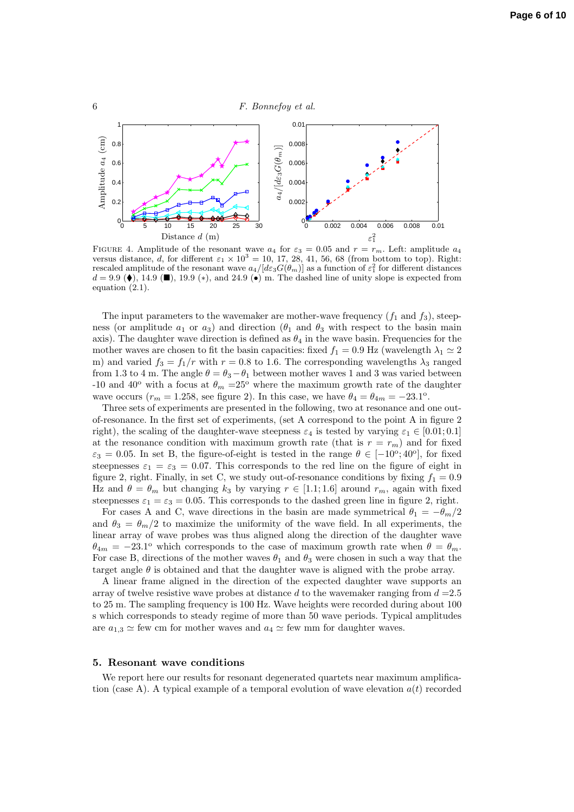

FIGURE 4. Amplitude of the resonant wave  $a_4$  for  $\varepsilon_3 = 0.05$  and  $r = r_m$ . Left: amplitude  $a_4$ versus distance, d, for different  $\varepsilon_1 \times 10^3 = 10$ , 17, 28, 41, 56, 68 (from bottom to top). Right: rescaled amplitude of the resonant wave  $a_4/[d\varepsilon_3 G(\theta_m)]$  as a function of  $\varepsilon_1^2$  for different distances  $d = 9.9$  ( $\bullet$ ), 14.9 ( $\blacksquare$ ), 19.9 (\*), and 24.9 ( $\bullet$ ) m. The dashed line of unity slope is expected from equation (2.1).

The input parameters to the wavemaker are mother-wave frequency  $(f_1$  and  $f_3)$ , steepness (or amplitude  $a_1$  or  $a_3$ ) and direction ( $\theta_1$  and  $\theta_3$  with respect to the basin main axis). The daughter wave direction is defined as  $\theta_4$  in the wave basin. Frequencies for the mother waves are chosen to fit the basin capacities: fixed  $f_1 = 0.9$  Hz (wavelength  $\lambda_1 \simeq 2$ m) and varied  $f_3 = f_1/r$  with  $r = 0.8$  to 1.6. The corresponding wavelengths  $\lambda_3$  ranged from 1.3 to 4 m. The angle  $\theta = \theta_3 - \theta_1$  between mother waves 1 and 3 was varied between -10 and 40<sup>o</sup> with a focus at  $\theta_m = 25^\circ$  where the maximum growth rate of the daughter wave occurs ( $r_m = 1.258$ , see figure 2). In this case, we have  $\theta_4 = \theta_{4m} = -23.1^{\circ}$ .

Three sets of experiments are presented in the following, two at resonance and one outof-resonance. In the first set of experiments, (set A correspond to the point A in figure 2 right), the scaling of the daughter-wave steepness  $\varepsilon_4$  is tested by varying  $\varepsilon_1 \in [0.01; 0.1]$ at the resonance condition with maximum growth rate (that is  $r = r_m$ ) and for fixed  $\varepsilon_3 = 0.05$ . In set B, the figure-of-eight is tested in the range  $\theta \in [-10^{\circ}, 40^{\circ}]$ , for fixed steepnesses  $\varepsilon_1 = \varepsilon_3 = 0.07$ . This corresponds to the red line on the figure of eight in figure 2, right. Finally, in set C, we study out-of-resonance conditions by fixing  $f_1 = 0.9$ Hz and  $\theta = \theta_m$  but changing  $k_3$  by varying  $r \in [1.1; 1.6]$  around  $r_m$ , again with fixed steepnesses  $\varepsilon_1 = \varepsilon_3 = 0.05$ . This corresponds to the dashed green line in figure 2, right.

For cases A and C, wave directions in the basin are made symmetrical  $\theta_1 = -\theta_m/2$ and  $\theta_3 = \theta_m/2$  to maximize the uniformity of the wave field. In all experiments, the linear array of wave probes was thus aligned along the direction of the daughter wave  $\theta_{4m} = -23.1^{\circ}$  which corresponds to the case of maximum growth rate when  $\theta = \theta_m$ . For case B, directions of the mother waves  $\theta_1$  and  $\theta_3$  were chosen in such a way that the target angle  $\theta$  is obtained and that the daughter wave is aligned with the probe array.

A linear frame aligned in the direction of the expected daughter wave supports an array of twelve resistive wave probes at distance d to the wavemaker ranging from  $d = 2.5$ to 25 m. The sampling frequency is 100 Hz. Wave heights were recorded during about 100 s which corresponds to steady regime of more than 50 wave periods. Typical amplitudes are  $a_{1,3} \simeq$  few cm for mother waves and  $a_4 \simeq$  few mm for daughter waves.

#### 5. Resonant wave conditions

We report here our results for resonant degenerated quartets near maximum amplification (case A). A typical example of a temporal evolution of wave elevation  $a(t)$  recorded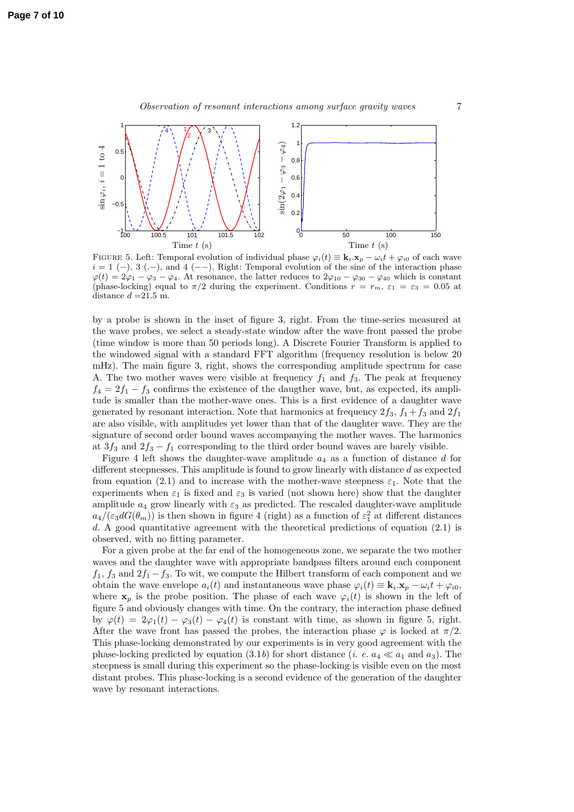

FIGURE 5. Left: Temporal evolution of individual phase  $\varphi_i(t) \equiv \mathbf{k}_i \cdot \mathbf{x}_p - \omega_i t + \varphi_{i0}$  of each wave  $i = 1 (-), 3 (-),$  and  $4 (-)-$ ). Right: Temporal evolution of the sine of the interaction phase  $\varphi(t) = 2\varphi_1 - \varphi_3 - \varphi_4$ . At resonance, the latter reduces to  $2\varphi_{10} - \varphi_{30} - \varphi_{40}$  which is constant (phase-locking) equal to  $\pi/2$  during the experiment. Conditions  $r = r_m$ ,  $\varepsilon_1 = \varepsilon_3 = 0.05$  at distance  $d = 21.5$  m.

by a probe is shown in the inset of figure 3, right. From the time-series measured at the wave probes, we select a steady-state window after the wave front passed the probe (time window is more than 50 periods long). A Discrete Fourier Transform is applied to the windowed signal with a standard FFT algorithm (frequency resolution is below 20 mHz). The main figure 3, right, shows the corresponding amplitude spectrum for case A. The two mother waves were visible at frequency  $f_1$  and  $f_3$ . The peak at frequency  $f_4 = 2f_1 - f_3$  confirms the existence of the daugther wave, but, as expected, its amplitude is smaller than the mother-wave ones. This is a first evidence of a daughter wave generated by resonant interaction. Note that harmonics at frequency  $2f_3$ ,  $f_1 + f_3$  and  $2f_1$ are also visible, with amplitudes yet lower than that of the daughter wave. They are the signature of second order bound waves accompanying the mother waves. The harmonics at  $3f_3$  and  $2f_3 - f_1$  corresponding to the third order bound waves are barely visible.

Figure 4 left shows the daughter-wave amplitude  $a_4$  as a function of distance  $d$  for different steepnesses. This amplitude is found to grow linearly with distance d as expected from equation (2.1) and to increase with the mother-wave steepness  $\varepsilon_1$ . Note that the experiments when  $\varepsilon_1$  is fixed and  $\varepsilon_3$  is varied (not shown here) show that the daughter amplitude  $a_4$  grow linearly with  $\varepsilon_3$  as predicted. The rescaled daughter-wave amplitude  $a_4/(\varepsilon_3 dG(\theta_m))$  is then shown in figure 4 (right) as a function of  $\varepsilon_1^2$  at different distances d. A good quantitative agreement with the theoretical predictions of equation  $(2.1)$  is observed, with no fitting parameter.

For a given probe at the far end of the homogeneous zone, we separate the two mother waves and the daughter wave with appropriate bandpass filters around each component  $f_1$ ,  $f_3$  and  $2f_1 - f_3$ . To wit, we compute the Hilbert transform of each component and we obtain the wave envelope  $a_i(t)$  and instantaneous wave phase  $\varphi_i(t) \equiv \mathbf{k}_i \cdot \mathbf{x}_p - \omega_i t + \varphi_{i0}$ , where  $\mathbf{x}_p$  is the probe position. The phase of each wave  $\varphi_i(t)$  is shown in the left of figure 5 and obviously changes with time. On the contrary, the interaction phase defined by  $\varphi(t) = 2\varphi_1(t) - \varphi_3(t) - \varphi_4(t)$  is constant with time, as shown in figure 5, right. After the wave front has passed the probes, the interaction phase  $\varphi$  is locked at  $\pi/2$ . This phase-locking demonstrated by our experiments is in very good agreement with the phase-locking predicted by equation  $(3.1b)$  for short distance  $(i. e. a_4 \ll a_1 \text{ and } a_3)$ . The steepness is small during this experiment so the phase-locking is visible even on the most distant probes. This phase-locking is a second evidence of the generation of the daughter wave by resonant interactions.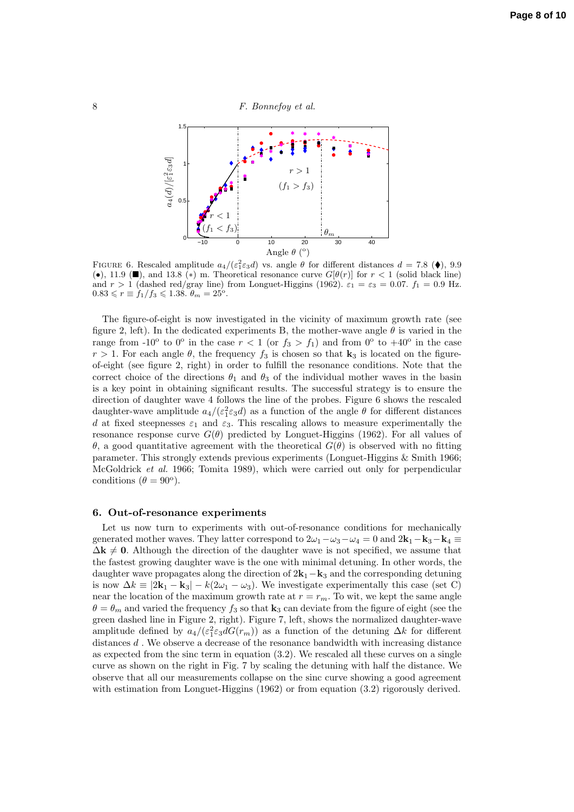8 **F. Bonnefoy et al.** 



FIGURE 6. Rescaled amplitude  $a_4/(\varepsilon_1^2\varepsilon_3 d)$  vs. angle  $\theta$  for different distances  $d = 7.8$  ( $\blacklozenge$ ), 9.9 (•), 11.9 (■), and 13.8 (\*) m. Theoretical resonance curve  $G[\theta(r)]$  for  $r < 1$  (solid black line) and  $r > 1$  (dashed red/gray line) from Longuet-Higgins (1962).  $\varepsilon_1 = \varepsilon_3 = 0.07$ .  $f_1 = 0.9$  Hz.  $0.83 \leqslant r \equiv f_1/f_3 \leqslant 1.38. \theta_m = 25^\circ.$ 

The figure-of-eight is now investigated in the vicinity of maximum growth rate (see figure 2, left). In the dedicated experiments B, the mother-wave angle  $\theta$  is varied in the range from -10<sup>o</sup> to 0<sup>o</sup> in the case  $r < 1$  (or  $f_3 > f_1$ ) and from 0<sup>o</sup> to +40<sup>o</sup> in the case  $r > 1$ . For each angle  $\theta$ , the frequency  $f_3$  is chosen so that  $\mathbf{k}_3$  is located on the figureof-eight (see figure 2, right) in order to fulfill the resonance conditions. Note that the correct choice of the directions  $\theta_1$  and  $\theta_3$  of the individual mother waves in the basin is a key point in obtaining significant results. The successful strategy is to ensure the direction of daughter wave 4 follows the line of the probes. Figure 6 shows the rescaled daughter-wave amplitude  $a_4/(\varepsilon_1^2\varepsilon_3 d)$  as a function of the angle  $\theta$  for different distances d at fixed steepnesses  $\varepsilon_1$  and  $\varepsilon_3$ . This rescaling allows to measure experimentally the resonance response curve  $G(\theta)$  predicted by Longuet-Higgins (1962). For all values of θ, a good quantitative agreement with the theoretical G(θ) is observed with no fitting parameter. This strongly extends previous experiments (Longuet-Higgins & Smith 1966; McGoldrick et al. 1966; Tomita 1989), which were carried out only for perpendicular conditions  $(\theta = 90^{\circ}).$ 

#### 6. Out-of-resonance experiments

Let us now turn to experiments with out-of-resonance conditions for mechanically generated mother waves. They latter correspond to  $2\omega_1 - \omega_3 - \omega_4 = 0$  and  $2\mathbf{k}_1 - \mathbf{k}_3 - \mathbf{k}_4 \equiv$  $\Delta k \neq 0$ . Although the direction of the daughter wave is not specified, we assume that the fastest growing daughter wave is the one with minimal detuning. In other words, the daughter wave propagates along the direction of  $2k_1-k_3$  and the corresponding detuning is now  $\Delta k \equiv |2\mathbf{k}_1 - \mathbf{k}_3| - k(2\omega_1 - \omega_3)$ . We investigate experimentally this case (set C) near the location of the maximum growth rate at  $r = r_m$ . To wit, we kept the same angle  $\theta = \theta_m$  and varied the frequency  $f_3$  so that  $\mathbf{k}_3$  can deviate from the figure of eight (see the green dashed line in Figure 2, right). Figure 7, left, shows the normalized daughter-wave amplitude defined by  $a_4/(\varepsilon_1^2\varepsilon_3 dG(r_m))$  as a function of the detuning  $\Delta k$  for different distances d. We observe a decrease of the resonance bandwidth with increasing distance as expected from the sinc term in equation (3.2). We rescaled all these curves on a single curve as shown on the right in Fig. 7 by scaling the detuning with half the distance. We observe that all our measurements collapse on the sinc curve showing a good agreement with estimation from Longuet-Higgins (1962) or from equation (3.2) rigorously derived.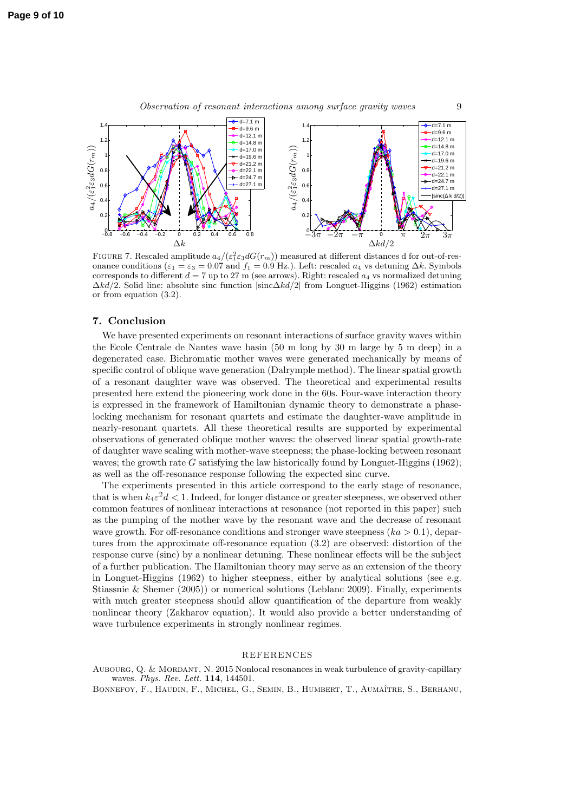

Observation of resonant interactions among surface gravity waves 9

FIGURE 7. Rescaled amplitude  $a_4/(\varepsilon_1^2 \varepsilon_3 dG(r_m))$  measured at different distances d for out-of-resonance conditions ( $\varepsilon_1 = \varepsilon_3 = 0.07$  and  $f_1 = 0.9$  Hz.). Left: rescaled  $a_4$  vs detuning  $\Delta k$ . Symbols corresponds to different  $d = 7$  up to 27 m (see arrows). Right: rescaled  $a_4$  vs normalized detuning  $\Delta k d/2$ . Solid line: absolute sinc function |sinc $\Delta k d/2$ | from Longuet-Higgins (1962) estimation or from equation (3.2).

# 7. Conclusion

We have presented experiments on resonant interactions of surface gravity waves within the Ecole Centrale de Nantes wave basin (50 m long by 30 m large by 5 m deep) in a degenerated case. Bichromatic mother waves were generated mechanically by means of specific control of oblique wave generation (Dalrymple method). The linear spatial growth of a resonant daughter wave was observed. The theoretical and experimental results presented here extend the pioneering work done in the 60s. Four-wave interaction theory is expressed in the framework of Hamiltonian dynamic theory to demonstrate a phaselocking mechanism for resonant quartets and estimate the daughter-wave amplitude in nearly-resonant quartets. All these theoretical results are supported by experimental observations of generated oblique mother waves: the observed linear spatial growth-rate of daughter wave scaling with mother-wave steepness; the phase-locking between resonant waves; the growth rate G satisfying the law historically found by Longuet-Higgins  $(1962)$ ; as well as the off-resonance response following the expected sinc curve.

The experiments presented in this article correspond to the early stage of resonance, that is when  $k_4 \varepsilon^2 d < 1$ . Indeed, for longer distance or greater steepness, we observed other common features of nonlinear interactions at resonance (not reported in this paper) such as the pumping of the mother wave by the resonant wave and the decrease of resonant wave growth. For off-resonance conditions and stronger wave steepness  $(ka > 0.1)$ , departures from the approximate off-resonance equation (3.2) are observed: distortion of the response curve (sinc) by a nonlinear detuning. These nonlinear effects will be the subject of a further publication. The Hamiltonian theory may serve as an extension of the theory in Longuet-Higgins (1962) to higher steepness, either by analytical solutions (see e.g. Stiassnie & Shemer (2005)) or numerical solutions (Leblanc 2009). Finally, experiments with much greater steepness should allow quantification of the departure from weakly nonlinear theory (Zakharov equation). It would also provide a better understanding of wave turbulence experiments in strongly nonlinear regimes.

#### REFERENCES

Aubourg, Q. & Mordant, N. 2015 Nonlocal resonances in weak turbulence of gravity-capillary waves. Phys. Rev. Lett. 114, 144501.

BONNEFOY, F., HAUDIN, F., MICHEL, G., SEMIN, B., HUMBERT, T., AUMAÎTRE, S., BERHANU,